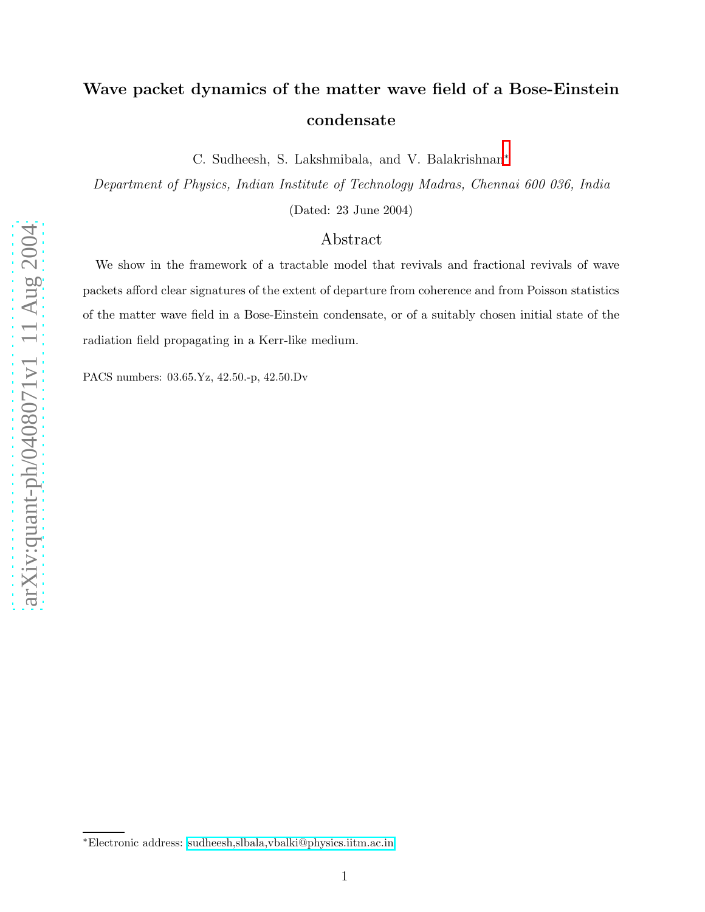## Wave packet dynamics of the matter wave field of a Bose-Einstein condensate

C. Sudheesh, S. Lakshmibala, and V. Balakrishnan\*

Department of Physics, Indian Institute of Technology Madras, Chennai 600 036, India

(Dated: 23 June 2004)

## Abstract

We show in the framework of a tractable model that revivals and fractional revivals of wave packets afford clear signatures of the extent of departure from coherence and from Poisson statistics of the matter wave field in a Bose-Einstein condensate, or of a suitably chosen initial state of the radiation field propagating in a Kerr-like medium.

PACS numbers: 03.65.Yz, 42.50.-p, 42.50.Dv

<span id="page-0-0"></span><sup>∗</sup>Electronic address: [sudheesh,slbala,vbalki@physics.iitm.ac.in](mailto:sudheesh,slbala,vbalki@physics.iitm.ac.in)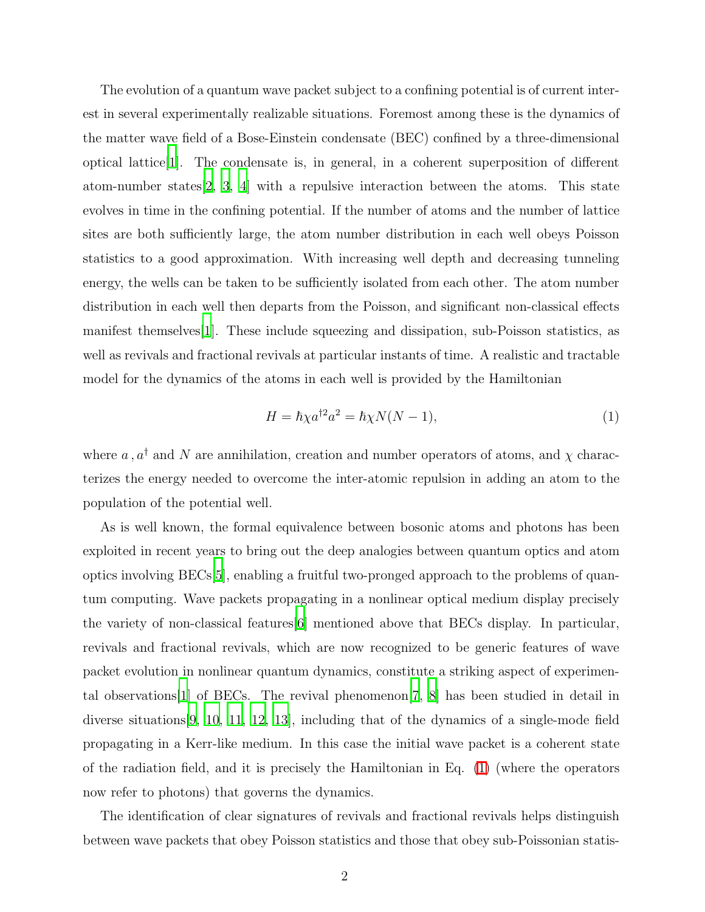The evolution of a quantum wave packet subject to a confining potential is of current interest in several experimentally realizable situations. Foremost among these is the dynamics of the matter wave field of a Bose-Einstein condensate (BEC) confined by a three-dimensional optical lattice[\[1\]](#page-8-0). The condensate is, in general, in a coherent superposition of different atom-number states  $[2, 3, 4]$  $[2, 3, 4]$  $[2, 3, 4]$  $[2, 3, 4]$  $[2, 3, 4]$  $[2, 3, 4]$  with a repulsive interaction between the atoms. This state evolves in time in the confining potential. If the number of atoms and the number of lattice sites are both sufficiently large, the atom number distribution in each well obeys Poisson statistics to a good approximation. With increasing well depth and decreasing tunneling energy, the wells can be taken to be sufficiently isolated from each other. The atom number distribution in each well then departs from the Poisson, and significant non-classical effects manifest themselves[\[1](#page-8-0)]. These include squeezing and dissipation, sub-Poisson statistics, as well as revivals and fractional revivals at particular instants of time. A realistic and tractable model for the dynamics of the atoms in each well is provided by the Hamiltonian

<span id="page-1-0"></span>
$$
H = \hbar \chi a^{\dagger 2} a^2 = \hbar \chi N(N-1), \qquad (1)
$$

where  $a$ ,  $a^{\dagger}$  and  $N$  are annihilation, creation and number operators of atoms, and  $\chi$  characterizes the energy needed to overcome the inter-atomic repulsion in adding an atom to the population of the potential well.

As is well known, the formal equivalence between bosonic atoms and photons has been exploited in recent years to bring out the deep analogies between quantum optics and atom optics involving BECs[\[5](#page-9-2)], enabling a fruitful two-pronged approach to the problems of quantum computing. Wave packets propagating in a nonlinear optical medium display precisely the variety of non-classical features[\[6](#page-9-3)] mentioned above that BECs display. In particular, revivals and fractional revivals, which are now recognized to be generic features of wave packet evolution in nonlinear quantum dynamics, constitute a striking aspect of experimental observations[\[1\]](#page-8-0) of BECs. The revival phenomenon[\[7](#page-9-4), [8\]](#page-9-5) has been studied in detail in diverse situations[\[9,](#page-9-6) [10,](#page-9-7) [11](#page-9-8), [12](#page-9-9), [13](#page-9-10)], including that of the dynamics of a single-mode field propagating in a Kerr-like medium. In this case the initial wave packet is a coherent state of the radiation field, and it is precisely the Hamiltonian in Eq. [\(1\)](#page-1-0) (where the operators now refer to photons) that governs the dynamics.

The identification of clear signatures of revivals and fractional revivals helps distinguish between wave packets that obey Poisson statistics and those that obey sub-Poissonian statis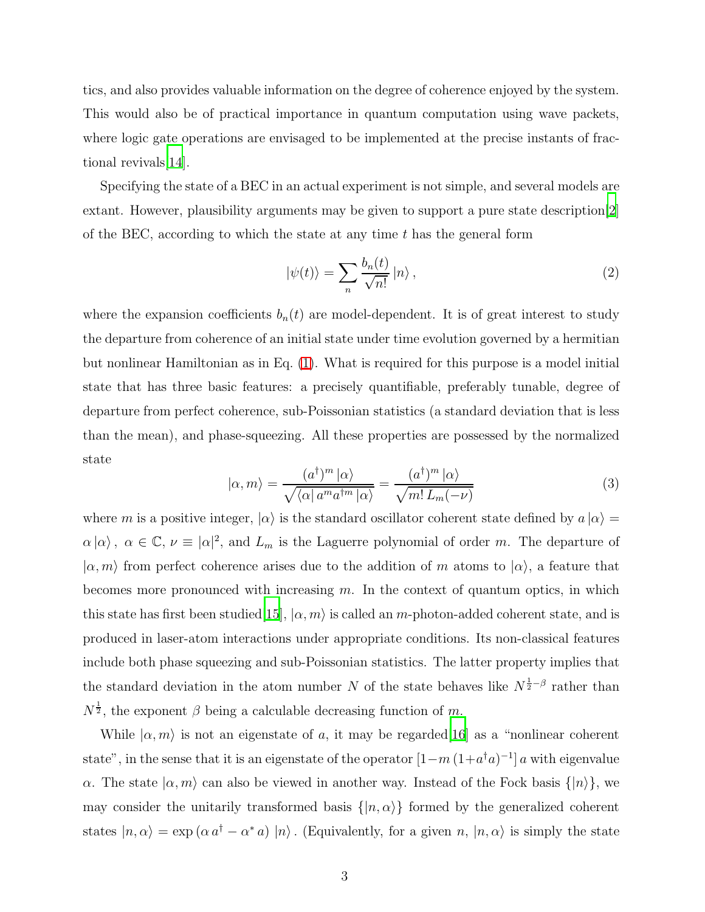tics, and also provides valuable information on the degree of coherence enjoyed by the system. This would also be of practical importance in quantum computation using wave packets, where logic gate operations are envisaged to be implemented at the precise instants of fractional revivals[\[14](#page-9-11)].

Specifying the state of a BEC in an actual experiment is not simple, and several models are extant. However, plausibility arguments may be given to support a pure state description[\[2\]](#page-8-1) of the BEC, according to which the state at any time  $t$  has the general form

$$
|\psi(t)\rangle = \sum_{n} \frac{b_n(t)}{\sqrt{n!}} |n\rangle , \qquad (2)
$$

where the expansion coefficients  $b_n(t)$  are model-dependent. It is of great interest to study the departure from coherence of an initial state under time evolution governed by a hermitian but nonlinear Hamiltonian as in Eq. [\(1\)](#page-1-0). What is required for this purpose is a model initial state that has three basic features: a precisely quantifiable, preferably tunable, degree of departure from perfect coherence, sub-Poissonian statistics (a standard deviation that is less than the mean), and phase-squeezing. All these properties are possessed by the normalized state

$$
|\alpha, m\rangle = \frac{(a^{\dagger})^m |\alpha\rangle}{\sqrt{\langle \alpha | a^m a^{\dagger m} |\alpha \rangle}} = \frac{(a^{\dagger})^m |\alpha\rangle}{\sqrt{m! L_m(-\nu)}}
$$
(3)

<span id="page-2-0"></span>where m is a positive integer,  $|\alpha\rangle$  is the standard oscillator coherent state defined by  $a |\alpha\rangle =$  $\alpha |\alpha\rangle$ ,  $\alpha \in \mathbb{C}, \nu \equiv |\alpha|^2$ , and  $L_m$  is the Laguerre polynomial of order m. The departure of  $|\alpha, m\rangle$  from perfect coherence arises due to the addition of m atoms to  $|\alpha\rangle$ , a feature that becomes more pronounced with increasing m. In the context of quantum optics, in which this state has first been studied[\[15\]](#page-9-12),  $|\alpha, m\rangle$  is called an m-photon-added coherent state, and is produced in laser-atom interactions under appropriate conditions. Its non-classical features include both phase squeezing and sub-Poissonian statistics. The latter property implies that the standard deviation in the atom number N of the state behaves like  $N^{\frac{1}{2}-\beta}$  rather than  $N^{\frac{1}{2}}$ , the exponent  $\beta$  being a calculable decreasing function of m.

While  $\ket{\alpha,m}$  is not an eigenstate of a, it may be regarded [\[16](#page-9-13)] as a "nonlinear coherent state", in the sense that it is an eigenstate of the operator  $[1-m(1+a^{\dagger}a)^{-1}]$  a with eigenvalue α. The state  $|α, m⟩$  can also be viewed in another way. Instead of the Fock basis  $\{|n⟩\}$ , we may consider the unitarily transformed basis  $\{|n, \alpha\rangle\}$  formed by the generalized coherent states  $|n,\alpha\rangle = \exp(\alpha a^{\dagger} - \alpha^* a) |n\rangle$ . (Equivalently, for a given  $n, |n,\alpha\rangle$  is simply the state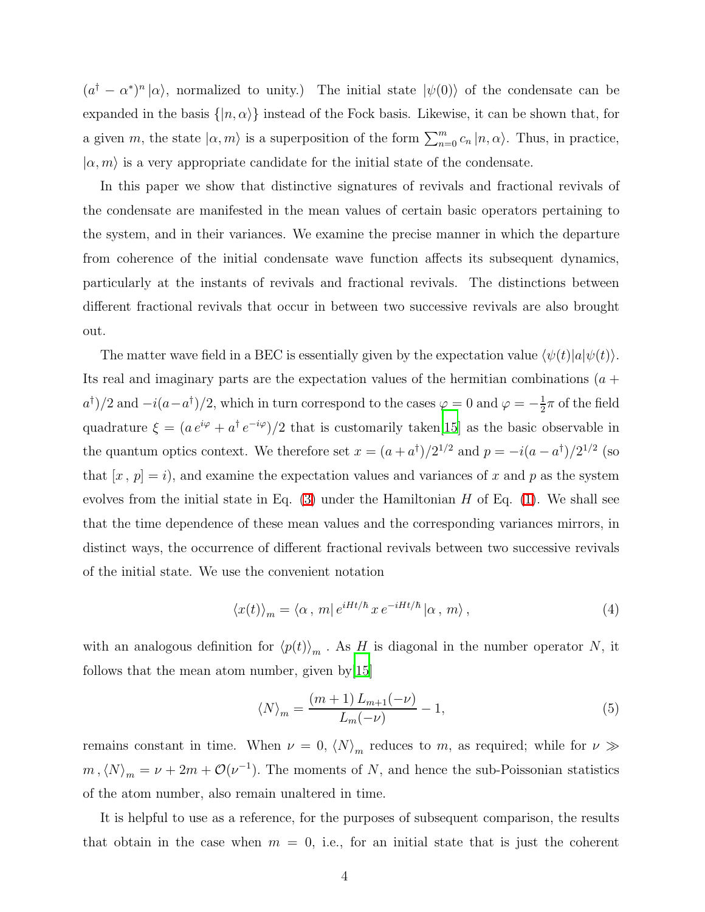$(a^{\dagger} - a^*)^n | \alpha \rangle$ , normalized to unity.) The initial state  $|\psi(0) \rangle$  of the condensate can be expanded in the basis  $\{|n,\alpha\rangle\}$  instead of the Fock basis. Likewise, it can be shown that, for a given m, the state  $|\alpha, m\rangle$  is a superposition of the form  $\sum_{n=0}^{m} c_n |n, \alpha\rangle$ . Thus, in practice,  $|\alpha, m\rangle$  is a very appropriate candidate for the initial state of the condensate.

In this paper we show that distinctive signatures of revivals and fractional revivals of the condensate are manifested in the mean values of certain basic operators pertaining to the system, and in their variances. We examine the precise manner in which the departure from coherence of the initial condensate wave function affects its subsequent dynamics, particularly at the instants of revivals and fractional revivals. The distinctions between different fractional revivals that occur in between two successive revivals are also brought out.

The matter wave field in a BEC is essentially given by the expectation value  $\langle \psi(t)|a|\psi(t)\rangle$ . Its real and imaginary parts are the expectation values of the hermitian combinations  $(a +$  $a^{\dagger}/2$  and  $-i(a-a^{\dagger})/2$ , which in turn correspond to the cases  $\varphi = 0$  and  $\varphi = -\frac{1}{2}$  $\frac{1}{2}\pi$  of the field quadrature  $\xi = (a e^{i\varphi} + a^{\dagger} e^{-i\varphi})/2$  that is customarily taken [\[15\]](#page-9-12) as the basic observable in the quantum optics context. We therefore set  $x = (a + a^{\dagger})/2^{1/2}$  and  $p = -i(a - a^{\dagger})/2^{1/2}$  (so that  $[x, p] = i$ , and examine the expectation values and variances of x and p as the system evolves from the initial state in Eq.  $(3)$  under the Hamiltonian H of Eq.  $(1)$ . We shall see that the time dependence of these mean values and the corresponding variances mirrors, in distinct ways, the occurrence of different fractional revivals between two successive revivals of the initial state. We use the convenient notation

<span id="page-3-0"></span>
$$
\langle x(t) \rangle_m = \langle \alpha \, , \, m | \, e^{iHt/\hbar} \, x \, e^{-iHt/\hbar} | \alpha \, , \, m \rangle \,, \tag{4}
$$

with an analogous definition for  $\langle p(t)\rangle_m$ . As H is diagonal in the number operator N, it follows that the mean atom number, given by[\[15\]](#page-9-12)

$$
\left\langle N\right\rangle _{m} = \frac{\left(m+1\right)L_{m+1}(-\nu)}{L_{m}(-\nu)} - 1,\tag{5}
$$

remains constant in time. When  $\nu = 0$ ,  $\langle N \rangle_m$  reduces to m, as required; while for  $\nu \gg$  $m, \langle N \rangle_m = \nu + 2m + \mathcal{O}(\nu^{-1})$ . The moments of N, and hence the sub-Poissonian statistics of the atom number, also remain unaltered in time.

It is helpful to use as a reference, for the purposes of subsequent comparison, the results that obtain in the case when  $m = 0$ , i.e., for an initial state that is just the coherent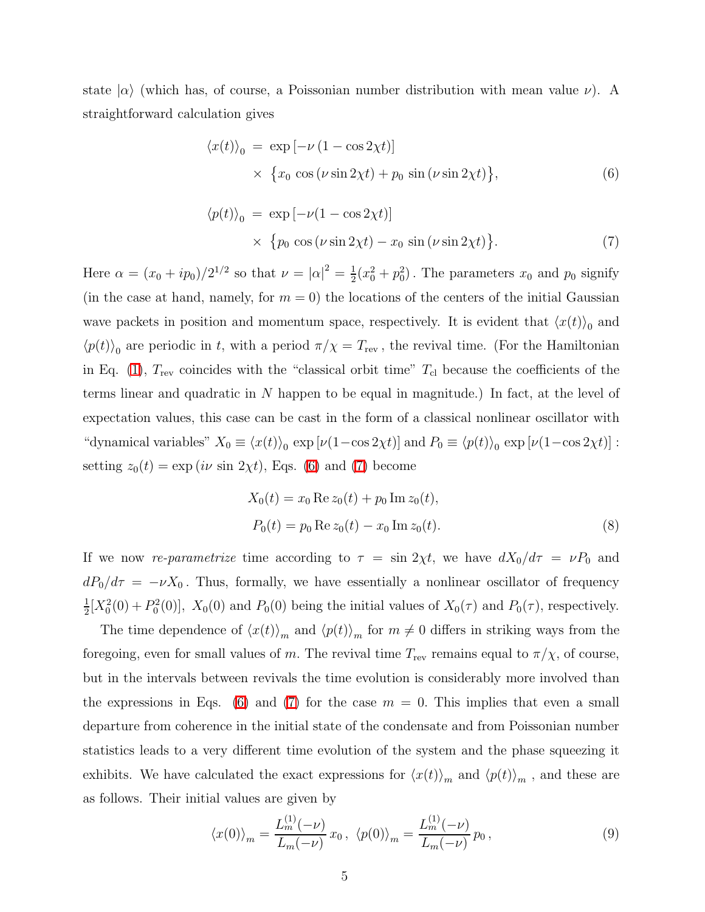<span id="page-4-0"></span>state  $|\alpha\rangle$  (which has, of course, a Poissonian number distribution with mean value  $\nu$ ). A straightforward calculation gives

$$
\langle x(t) \rangle_0 = \exp \left[ -\nu \left( 1 - \cos 2\chi t \right) \right] \times \{ x_0 \cos \left( \nu \sin 2\chi t \right) + p_0 \sin \left( \nu \sin 2\chi t \right) \},\tag{6}
$$

$$
\langle p(t) \rangle_0 = \exp \left[ -\nu (1 - \cos 2\chi t) \right]
$$
  
 
$$
\times \{ p_0 \cos (\nu \sin 2\chi t) - x_0 \sin (\nu \sin 2\chi t) \}.
$$
 (7)

<span id="page-4-1"></span>Here  $\alpha = (x_0 + ip_0)/2^{1/2}$  so that  $\nu = |\alpha|^2 = \frac{1}{2}$  $\frac{1}{2}(x_0^2 + p_0^2)$ . The parameters  $x_0$  and  $p_0$  signify (in the case at hand, namely, for  $m = 0$ ) the locations of the centers of the initial Gaussian wave packets in position and momentum space, respectively. It is evident that  $\langle x(t) \rangle_0$  and  $\langle p(t) \rangle$ <sub>0</sub> are periodic in t, with a period  $\pi/\chi = T_{\text{rev}}$ , the revival time. (For the Hamiltonian in Eq. [\(1\)](#page-1-0),  $T_{\text{rev}}$  coincides with the "classical orbit time"  $T_{\text{cl}}$  because the coefficients of the terms linear and quadratic in N happen to be equal in magnitude.) In fact, at the level of expectation values, this case can be cast in the form of a classical nonlinear oscillator with "dynamical variables"  $X_0 \equiv \langle x(t) \rangle_0 \exp \left[ \nu (1 - \cos 2\chi t) \right]$  and  $P_0 \equiv \langle p(t) \rangle_0 \exp \left[ \nu (1 - \cos 2\chi t) \right]$ : setting  $z_0(t) = \exp(i\nu \sin 2\chi t)$ , Eqs. [\(6\)](#page-4-0) and [\(7\)](#page-4-1) become

$$
X_0(t) = x_0 \operatorname{Re} z_0(t) + p_0 \operatorname{Im} z_0(t),
$$
  
\n
$$
P_0(t) = p_0 \operatorname{Re} z_0(t) - x_0 \operatorname{Im} z_0(t).
$$
\n(8)

If we now re-parametrize time according to  $\tau = \sin 2\chi t$ , we have  $dX_0/d\tau = \nu P_0$  and  $dP_0/d\tau = -\nu X_0$ . Thus, formally, we have essentially a nonlinear oscillator of frequency 1  $\frac{1}{2}[X_0^2(0) + P_0^2(0)], X_0(0)$  and  $P_0(0)$  being the initial values of  $X_0(\tau)$  and  $P_0(\tau)$ , respectively.

The time dependence of  $\langle x(t)\rangle_m$  and  $\langle p(t)\rangle_m$  for  $m \neq 0$  differs in striking ways from the foregoing, even for small values of m. The revival time  $T_{\text{rev}}$  remains equal to  $\pi/\chi$ , of course, but in the intervals between revivals the time evolution is considerably more involved than the expressions in Eqs. [\(6\)](#page-4-0) and [\(7\)](#page-4-1) for the case  $m = 0$ . This implies that even a small departure from coherence in the initial state of the condensate and from Poissonian number statistics leads to a very different time evolution of the system and the phase squeezing it exhibits. We have calculated the exact expressions for  $\langle x(t)\rangle_m$  and  $\langle p(t)\rangle_m$ , and these are as follows. Their initial values are given by

$$
\langle x(0) \rangle_m = \frac{L_m^{(1)}(-\nu)}{L_m(-\nu)} x_0, \ \langle p(0) \rangle_m = \frac{L_m^{(1)}(-\nu)}{L_m(-\nu)} p_0, \tag{9}
$$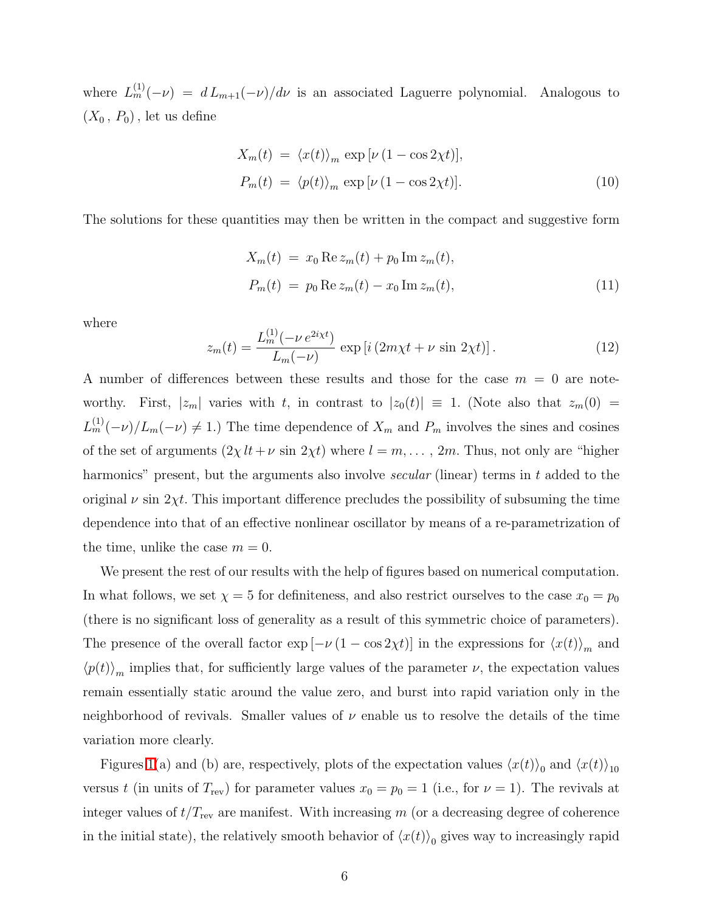where  $L_m^{(1)}(-\nu) = d L_{m+1}(-\nu)/d\nu$  is an associated Laguerre polynomial. Analogous to  $(X_0, P_0)$ , let us define

$$
X_m(t) = \langle x(t) \rangle_m \exp[\nu (1 - \cos 2\chi t)],
$$
  
\n
$$
P_m(t) = \langle p(t) \rangle_m \exp[\nu (1 - \cos 2\chi t)].
$$
\n(10)

The solutions for these quantities may then be written in the compact and suggestive form

$$
X_m(t) = x_0 \operatorname{Re} z_m(t) + p_0 \operatorname{Im} z_m(t),
$$
  
\n
$$
P_m(t) = p_0 \operatorname{Re} z_m(t) - x_0 \operatorname{Im} z_m(t),
$$
\n(11)

where

$$
z_m(t) = \frac{L_m^{(1)}(-\nu e^{2i\chi t})}{L_m(-\nu)} \exp[i(2m\chi t + \nu \sin 2\chi t)].
$$
 (12)

A number of differences between these results and those for the case  $m = 0$  are noteworthy. First,  $|z_m|$  varies with t, in contrast to  $|z_0(t)| \equiv 1$ . (Note also that  $z_m(0) =$  $L_m^{(1)}(-\nu)/L_m(-\nu) \neq 1$ .) The time dependence of  $X_m$  and  $P_m$  involves the sines and cosines of the set of arguments  $(2\chi l t + \nu \sin 2\chi t)$  where  $l = m, \dots, 2m$ . Thus, not only are "higher" harmonics" present, but the arguments also involve *secular* (linear) terms in t added to the original  $\nu$  sin 2χt. This important difference precludes the possibility of subsuming the time dependence into that of an effective nonlinear oscillator by means of a re-parametrization of the time, unlike the case  $m = 0$ .

We present the rest of our results with the help of figures based on numerical computation. In what follows, we set  $\chi = 5$  for definiteness, and also restrict ourselves to the case  $x_0 = p_0$ (there is no significant loss of generality as a result of this symmetric choice of parameters). The presence of the overall factor  $\exp[-\nu (1 - \cos 2\chi t)]$  in the expressions for  $\langle x(t) \rangle_m$  and  $\langle p(t) \rangle_m$  implies that, for sufficiently large values of the parameter  $\nu$ , the expectation values remain essentially static around the value zero, and burst into rapid variation only in the neighborhood of revivals. Smaller values of  $\nu$  enable us to resolve the details of the time variation more clearly.

Figures [1\(](#page-6-0)a) and (b) are, respectively, plots of the expectation values  $\langle x(t) \rangle_0$  and  $\langle x(t) \rangle_{10}$ versus t (in units of  $T_{\text{rev}}$ ) for parameter values  $x_0 = p_0 = 1$  (i.e., for  $\nu = 1$ ). The revivals at integer values of  $t/T_{\text{rev}}$  are manifest. With increasing m (or a decreasing degree of coherence in the initial state), the relatively smooth behavior of  $\langle x(t) \rangle_0$  gives way to increasingly rapid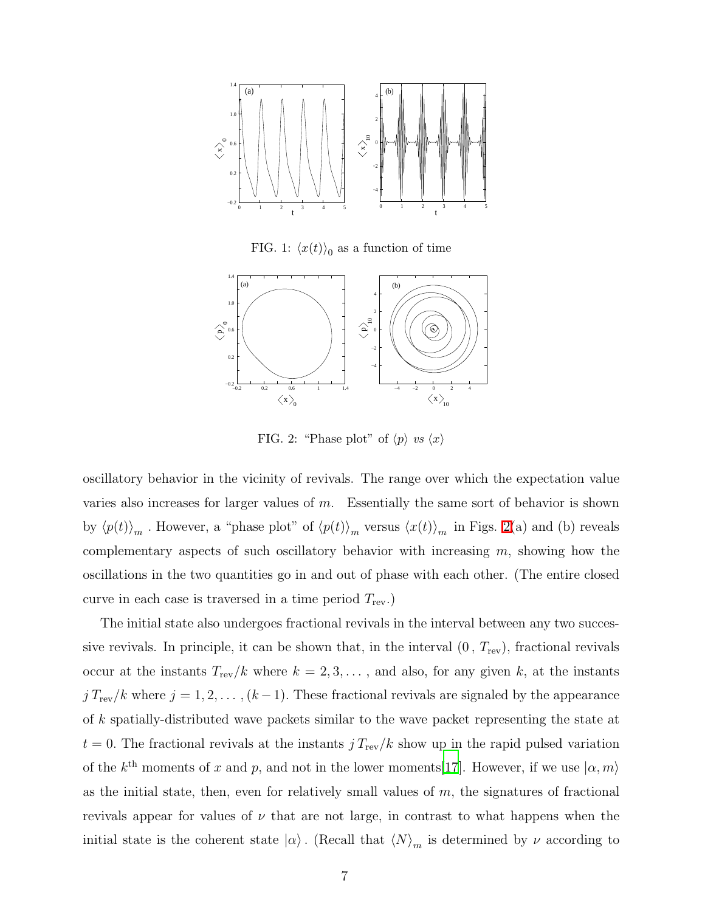

FIG. 1:  $\langle x(t) \rangle_0$  as a function of time

<span id="page-6-0"></span>

<span id="page-6-1"></span>FIG. 2: "Phase plot" of  $\langle p \rangle$  vs  $\langle x \rangle$ 

oscillatory behavior in the vicinity of revivals. The range over which the expectation value varies also increases for larger values of  $m$ . Essentially the same sort of behavior is shown by  $\langle p(t)\rangle_m$ . However, a "phase plot" of  $\langle p(t)\rangle_m$  versus  $\langle x(t)\rangle_m$  in Figs. [2\(](#page-6-1)a) and (b) reveals complementary aspects of such oscillatory behavior with increasing  $m$ , showing how the oscillations in the two quantities go in and out of phase with each other. (The entire closed curve in each case is traversed in a time period  $T_{\text{rev}}$ .

The initial state also undergoes fractional revivals in the interval between any two successive revivals. In principle, it can be shown that, in the interval  $(0, T_{\text{rev}})$ , fractional revivals occur at the instants  $T_{\text{rev}}/k$  where  $k = 2, 3, \ldots$ , and also, for any given k, at the instants  $j T_{\text{rev}}/k$  where  $j = 1, 2, ..., (k-1)$ . These fractional revivals are signaled by the appearance of k spatially-distributed wave packets similar to the wave packet representing the state at  $t = 0$ . The fractional revivals at the instants  $j T_{\text{rev}}/k$  show up in the rapid pulsed variation of the  $k^{\text{th}}$  moments of x and p, and not in the lower moments[\[17](#page-9-14)]. However, if we use  $|\alpha, m\rangle$ as the initial state, then, even for relatively small values of  $m$ , the signatures of fractional revivals appear for values of  $\nu$  that are not large, in contrast to what happens when the initial state is the coherent state  $|\alpha\rangle$ . (Recall that  $\langle N\rangle_m$  is determined by  $\nu$  according to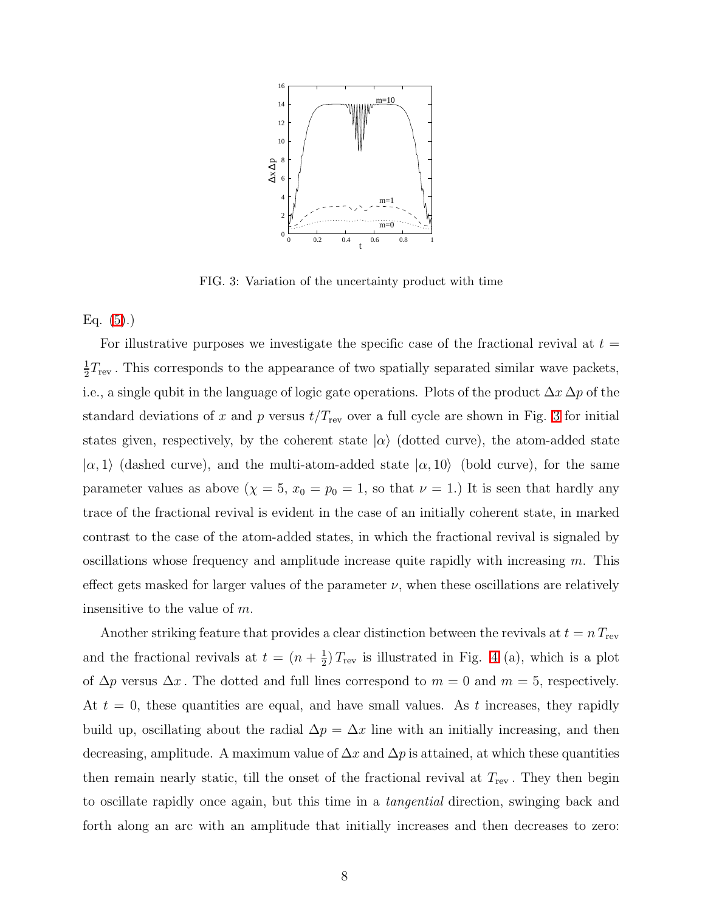

<span id="page-7-0"></span>FIG. 3: Variation of the uncertainty product with time

Eq.  $(5).$ 

For illustrative purposes we investigate the specific case of the fractional revival at  $t =$ 1  $\frac{1}{2}T_{\text{rev}}$ . This corresponds to the appearance of two spatially separated similar wave packets, i.e., a single qubit in the language of logic gate operations. Plots of the product  $\Delta x \Delta p$  of the standard deviations of x and p versus  $t/T_{\text{rev}}$  over a full cycle are shown in Fig. [3](#page-7-0) for initial states given, respectively, by the coherent state  $|\alpha\rangle$  (dotted curve), the atom-added state  $|\alpha, 1\rangle$  (dashed curve), and the multi-atom-added state  $|\alpha, 10\rangle$  (bold curve), for the same parameter values as above  $(\chi = 5, x_0 = p_0 = 1,$  so that  $\nu = 1$ .) It is seen that hardly any trace of the fractional revival is evident in the case of an initially coherent state, in marked contrast to the case of the atom-added states, in which the fractional revival is signaled by oscillations whose frequency and amplitude increase quite rapidly with increasing  $m$ . This effect gets masked for larger values of the parameter  $\nu$ , when these oscillations are relatively insensitive to the value of m.

Another striking feature that provides a clear distinction between the revivals at  $t = n T_{\text{rev}}$ and the fractional revivals at  $t = (n + \frac{1}{2})$  $\frac{1}{2}$ )  $T_{\text{rev}}$  is illustrated in Fig. [4](#page-8-2) (a), which is a plot of  $\Delta p$  versus  $\Delta x$ . The dotted and full lines correspond to  $m = 0$  and  $m = 5$ , respectively. At  $t = 0$ , these quantities are equal, and have small values. As t increases, they rapidly build up, oscillating about the radial  $\Delta p = \Delta x$  line with an initially increasing, and then decreasing, amplitude. A maximum value of  $\Delta x$  and  $\Delta p$  is attained, at which these quantities then remain nearly static, till the onset of the fractional revival at  $T_{\text{rev}}$ . They then begin to oscillate rapidly once again, but this time in a tangential direction, swinging back and forth along an arc with an amplitude that initially increases and then decreases to zero: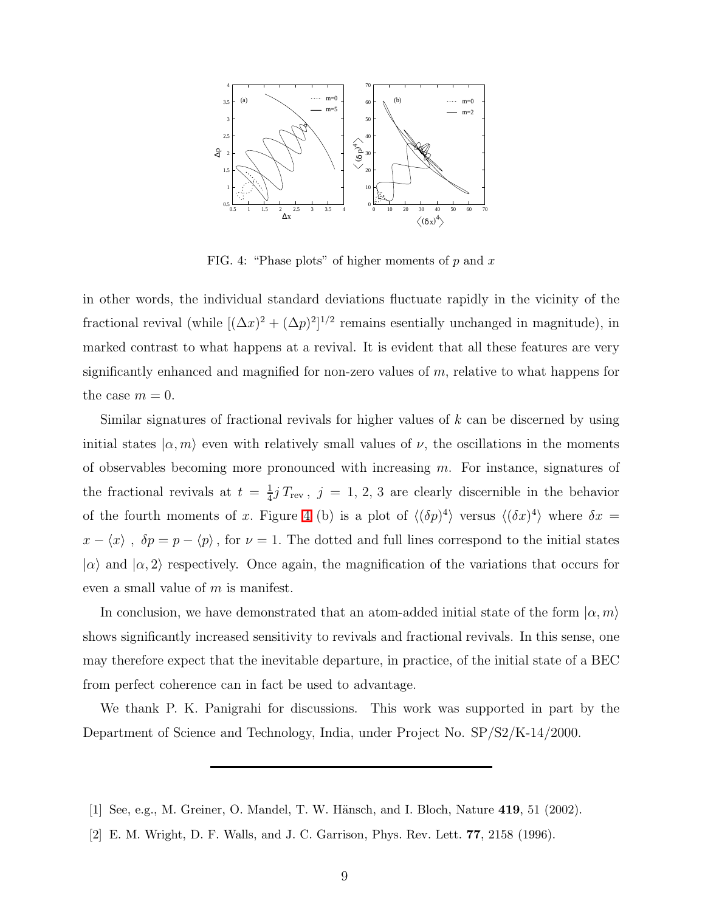

<span id="page-8-2"></span>FIG. 4: "Phase plots" of higher moments of  $p$  and  $x$ 

in other words, the individual standard deviations fluctuate rapidly in the vicinity of the fractional revival (while  $[(\Delta x)^2 + (\Delta p)^2]^{1/2}$  remains esentially unchanged in magnitude), in marked contrast to what happens at a revival. It is evident that all these features are very significantly enhanced and magnified for non-zero values of m, relative to what happens for the case  $m = 0$ .

Similar signatures of fractional revivals for higher values of  $k$  can be discerned by using initial states  $|\alpha, m\rangle$  even with relatively small values of  $\nu$ , the oscillations in the moments of observables becoming more pronounced with increasing  $m$ . For instance, signatures of the fractional revivals at  $t = \frac{1}{4}$  $\frac{1}{4}jT_{\text{rev}}$ ,  $j = 1, 2, 3$  are clearly discernible in the behavior of the fourth moments of x. Figure [4](#page-8-2) (b) is a plot of  $\langle (\delta p)^4 \rangle$  versus  $\langle (\delta x)^4 \rangle$  where  $\delta x =$  $x - \langle x \rangle$ ,  $\delta p = p - \langle p \rangle$ , for  $\nu = 1$ . The dotted and full lines correspond to the initial states  $|\alpha\rangle$  and  $|\alpha, 2\rangle$  respectively. Once again, the magnification of the variations that occurs for even a small value of m is manifest.

In conclusion, we have demonstrated that an atom-added initial state of the form  $\ket{\alpha,m}$ shows significantly increased sensitivity to revivals and fractional revivals. In this sense, one may therefore expect that the inevitable departure, in practice, of the initial state of a BEC from perfect coherence can in fact be used to advantage.

We thank P. K. Panigrahi for discussions. This work was supported in part by the Department of Science and Technology, India, under Project No. SP/S2/K-14/2000.

- <span id="page-8-0"></span>[1] See, e.g., M. Greiner, O. Mandel, T. W. Hänsch, and I. Bloch, Nature 419, 51 (2002).
- <span id="page-8-1"></span>[2] E. M. Wright, D. F. Walls, and J. C. Garrison, Phys. Rev. Lett. 77, 2158 (1996).